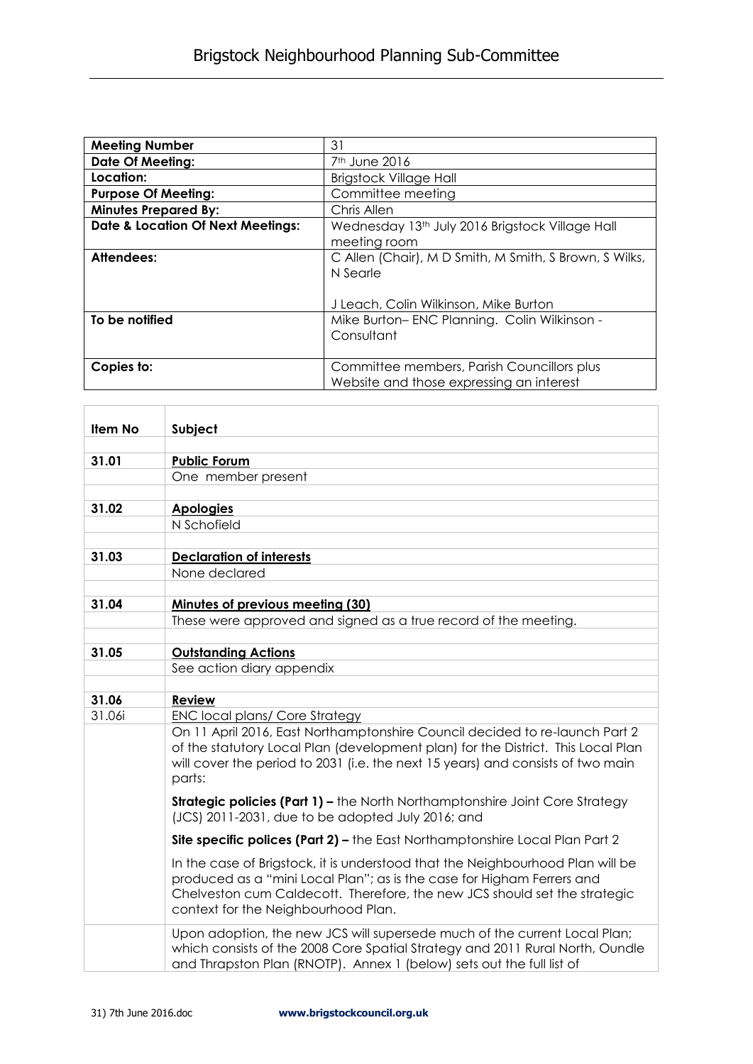| <b>Meeting Number</b>                        | 31                                                          |  |  |  |
|----------------------------------------------|-------------------------------------------------------------|--|--|--|
| <b>Date Of Meeting:</b>                      | 7 <sup>th</sup> June 2016                                   |  |  |  |
| Location:                                    | <b>Brigstock Village Hall</b>                               |  |  |  |
| <b>Purpose Of Meeting:</b>                   | Committee meeting                                           |  |  |  |
| <b>Minutes Prepared By:</b>                  | Chris Allen                                                 |  |  |  |
| <b>Date &amp; Location Of Next Meetings:</b> | Wednesday 13 <sup>th</sup> July 2016 Brigstock Village Hall |  |  |  |
|                                              | meeting room                                                |  |  |  |
| Attendees:                                   | C Allen (Chair), M D Smith, M Smith, S Brown, S Wilks,      |  |  |  |
|                                              | N Searle                                                    |  |  |  |
|                                              |                                                             |  |  |  |
|                                              | J Leach, Colin Wilkinson, Mike Burton                       |  |  |  |
| To be notified                               | Mike Burton-ENC Planning. Colin Wilkinson -                 |  |  |  |
|                                              | Consultant                                                  |  |  |  |
|                                              |                                                             |  |  |  |
| Copies to:                                   | Committee members, Parish Councillors plus                  |  |  |  |
|                                              | Website and those expressing an interest                    |  |  |  |

| Item No | Subject                                                                                                                                                                                                                               |
|---------|---------------------------------------------------------------------------------------------------------------------------------------------------------------------------------------------------------------------------------------|
|         |                                                                                                                                                                                                                                       |
| 31.01   | <b>Public Forum</b>                                                                                                                                                                                                                   |
|         | One member present                                                                                                                                                                                                                    |
|         |                                                                                                                                                                                                                                       |
| 31.02   | <b>Apologies</b>                                                                                                                                                                                                                      |
|         | N Schofield                                                                                                                                                                                                                           |
|         |                                                                                                                                                                                                                                       |
| 31.03   | <b>Declaration of interests</b>                                                                                                                                                                                                       |
|         | None declared                                                                                                                                                                                                                         |
| 31.04   |                                                                                                                                                                                                                                       |
|         | Minutes of previous meeting (30)<br>These were approved and signed as a true record of the meeting.                                                                                                                                   |
|         |                                                                                                                                                                                                                                       |
| 31.05   | <b>Outstanding Actions</b>                                                                                                                                                                                                            |
|         | See action diary appendix                                                                                                                                                                                                             |
|         |                                                                                                                                                                                                                                       |
| 31.06   | <b>Review</b>                                                                                                                                                                                                                         |
| 31.06i  | <b>ENC local plans/ Core Strategy</b>                                                                                                                                                                                                 |
|         | On 11 April 2016, East Northamptonshire Council decided to re-launch Part 2                                                                                                                                                           |
|         | of the statutory Local Plan (development plan) for the District. This Local Plan<br>will cover the period to 2031 (i.e. the next 15 years) and consists of two main                                                                   |
|         | parts:                                                                                                                                                                                                                                |
|         |                                                                                                                                                                                                                                       |
|         | <b>Strategic policies (Part 1) - the North Northamptonshire Joint Core Strategy</b><br>(JCS) 2011-2031, due to be adopted July 2016; and                                                                                              |
|         | Site specific polices (Part 2) – the East Northamptonshire Local Plan Part 2                                                                                                                                                          |
|         | In the case of Brigstock, it is understood that the Neighbourhood Plan will be<br>produced as a "mini Local Plan"; as is the case for Higham Ferrers and<br>Chelveston cum Caldecott. Therefore, the new JCS should set the strategic |
|         | context for the Neighbourhood Plan.                                                                                                                                                                                                   |
|         | Upon adoption, the new JCS will supersede much of the current Local Plan;<br>which consists of the 2008 Core Spatial Strategy and 2011 Rural North, Oundle<br>and Thrapston Plan (RNOTP). Annex 1 (below) sets out the full list of   |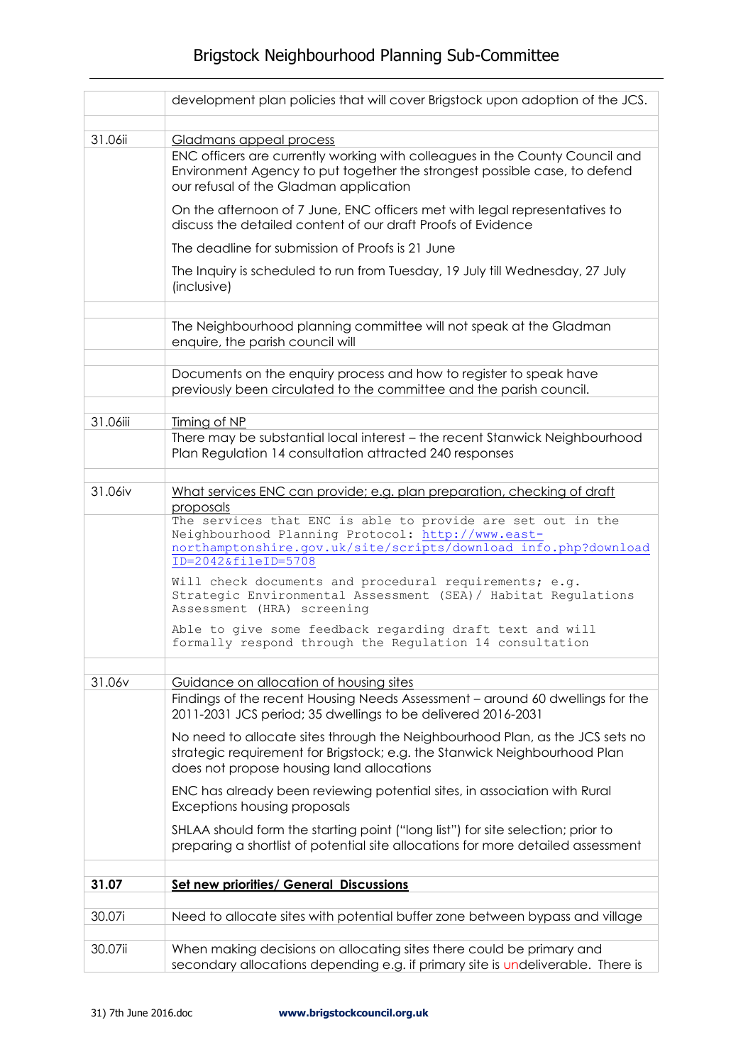## Brigstock Neighbourhood Planning Sub-Committee

|          | development plan policies that will cover Brigstock upon adoption of the JCS.                                                                                                                                                                                        |
|----------|----------------------------------------------------------------------------------------------------------------------------------------------------------------------------------------------------------------------------------------------------------------------|
|          |                                                                                                                                                                                                                                                                      |
| 31.06ii  | Gladmans appeal process<br>ENC officers are currently working with colleagues in the County Council and<br>Environment Agency to put together the strongest possible case, to defend<br>our refusal of the Gladman application                                       |
|          | On the afternoon of 7 June, ENC officers met with legal representatives to<br>discuss the detailed content of our draft Proofs of Evidence                                                                                                                           |
|          | The deadline for submission of Proofs is 21 June                                                                                                                                                                                                                     |
|          | The Inquiry is scheduled to run from Tuesday, 19 July till Wednesday, 27 July<br>(inclusive)                                                                                                                                                                         |
|          | The Neighbourhood planning committee will not speak at the Gladman<br>enquire, the parish council will                                                                                                                                                               |
|          | Documents on the enquiry process and how to register to speak have<br>previously been circulated to the committee and the parish council.                                                                                                                            |
| 31.06iii | Timing of NP                                                                                                                                                                                                                                                         |
|          | There may be substantial local interest - the recent Stanwick Neighbourhood<br>Plan Regulation 14 consultation attracted 240 responses                                                                                                                               |
| 31.06iv  | What services ENC can provide; e.g. plan preparation, checking of draft                                                                                                                                                                                              |
|          | proposals                                                                                                                                                                                                                                                            |
|          | The services that ENC is able to provide are set out in the<br>Neighbourhood Planning Protocol: http://www.east-<br>northamptonshire.gov.uk/site/scripts/download info.php?download<br>ID=2042&fileID=5708<br>Will check documents and procedural requirements; e.g. |
|          | Strategic Environmental Assessment (SEA) / Habitat Regulations<br>Assessment (HRA) screening                                                                                                                                                                         |
|          | Able to give some feedback regarding draft text and will<br>formally respond through the Regulation 14 consultation                                                                                                                                                  |
|          |                                                                                                                                                                                                                                                                      |
| 31.06v   | Guidance on allocation of housing sites<br>Findings of the recent Housing Needs Assessment - around 60 dwellings for the<br>2011-2031 JCS period; 35 dwellings to be delivered 2016-2031                                                                             |
|          | No need to allocate sites through the Neighbourhood Plan, as the JCS sets no<br>strategic requirement for Brigstock; e.g. the Stanwick Neighbourhood Plan<br>does not propose housing land allocations                                                               |
|          | ENC has already been reviewing potential sites, in association with Rural<br>Exceptions housing proposals                                                                                                                                                            |
|          | SHLAA should form the starting point ("long list") for site selection; prior to<br>preparing a shortlist of potential site allocations for more detailed assessment                                                                                                  |
| 31.07    | <b>Set new priorities/ General Discussions</b>                                                                                                                                                                                                                       |
|          |                                                                                                                                                                                                                                                                      |
| 30.07i   | Need to allocate sites with potential buffer zone between bypass and village                                                                                                                                                                                         |
| 30.07ii  | When making decisions on allocating sites there could be primary and<br>secondary allocations depending e.g. if primary site is undeliverable. There is                                                                                                              |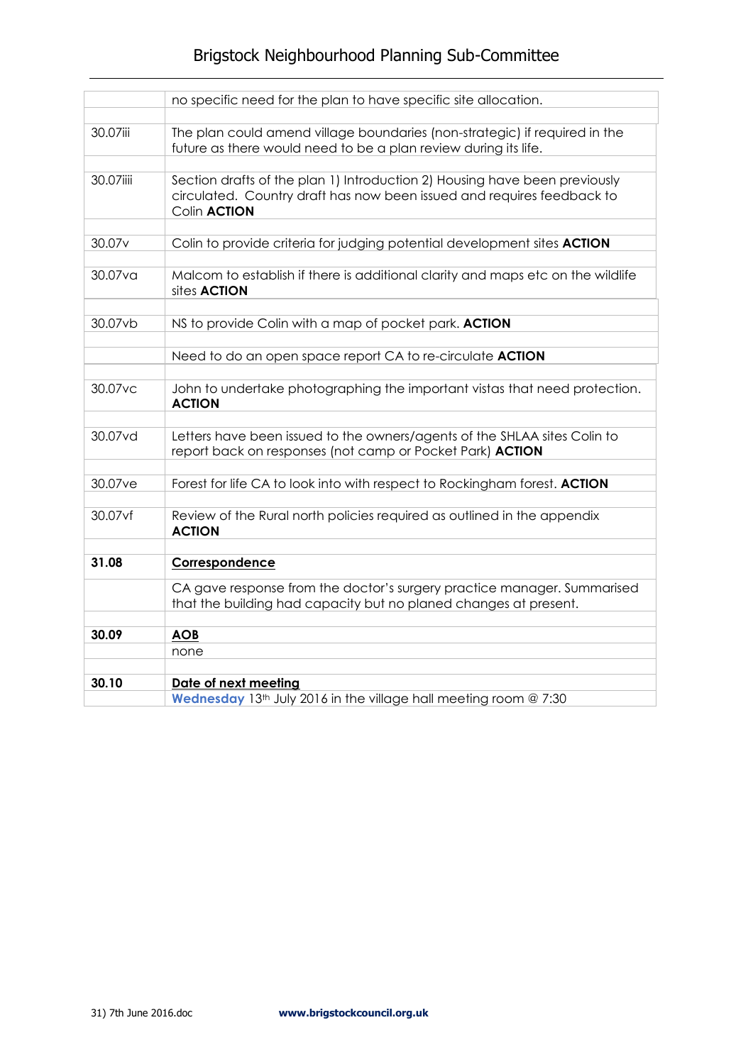## Brigstock Neighbourhood Planning Sub-Committee

|                    | no specific need for the plan to have specific site allocation.                                                                                                             |
|--------------------|-----------------------------------------------------------------------------------------------------------------------------------------------------------------------------|
|                    |                                                                                                                                                                             |
| 30.07iii           | The plan could amend village boundaries (non-strategic) if required in the<br>future as there would need to be a plan review during its life.                               |
| 30.07iiii          | Section drafts of the plan 1) Introduction 2) Housing have been previously<br>circulated. Country draft has now been issued and requires feedback to<br>Colin <b>ACTION</b> |
| 30.07 <sub>v</sub> | Colin to provide criteria for judging potential development sites <b>ACTION</b>                                                                                             |
| 30.07va            | Malcom to establish if there is additional clarity and maps etc on the wildlife<br>sites <b>ACTION</b>                                                                      |
|                    |                                                                                                                                                                             |
| 30.07vb            | NS to provide Colin with a map of pocket park. ACTION                                                                                                                       |
|                    | Need to do an open space report CA to re-circulate ACTION                                                                                                                   |
| 30.07vc            | John to undertake photographing the important vistas that need protection.<br><b>ACTION</b>                                                                                 |
| 30.07vd            | Letters have been issued to the owners/agents of the SHLAA sites Colin to<br>report back on responses (not camp or Pocket Park) ACTION                                      |
| 30.07ve            | Forest for life CA to look into with respect to Rockingham forest. ACTION                                                                                                   |
| 30.07vf            | Review of the Rural north policies required as outlined in the appendix<br><b>ACTION</b>                                                                                    |
| 31.08              | Correspondence                                                                                                                                                              |
|                    | CA gave response from the doctor's surgery practice manager. Summarised<br>that the building had capacity but no planed changes at present.                                 |
| 30.09              | <b>AOB</b>                                                                                                                                                                  |
|                    | none                                                                                                                                                                        |
|                    |                                                                                                                                                                             |
| 30.10              | Date of next meeting<br>Wednesday 13 <sup>th</sup> July 2016 in the village hall meeting room @ 7:30                                                                        |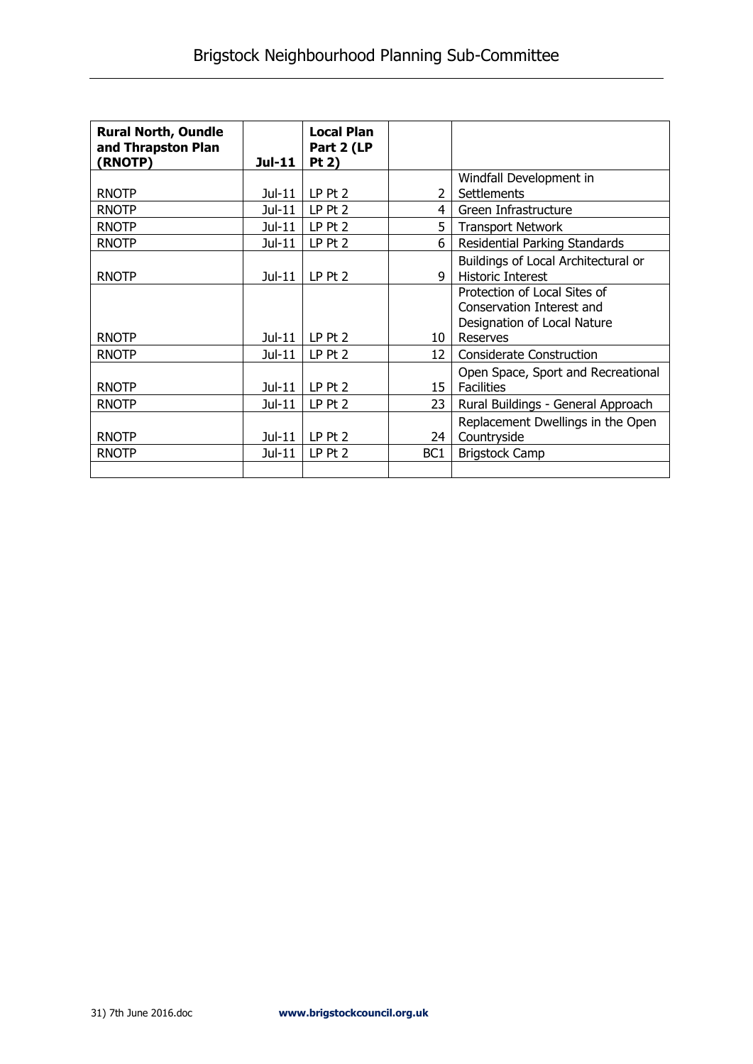| <b>Rural North, Oundle</b><br>and Thrapston Plan<br>(RNOTP) | Jul-11   | <b>Local Plan</b><br>Part 2 (LP<br>Pt 2) |                 |                                     |
|-------------------------------------------------------------|----------|------------------------------------------|-----------------|-------------------------------------|
|                                                             |          |                                          |                 | Windfall Development in             |
| <b>RNOTP</b>                                                | $Jul-11$ | $LP$ Pt $2$                              | $\mathcal{P}$   | Settlements                         |
| <b>RNOTP</b>                                                | Jul-11   | LP Pt 2                                  | 4               | Green Infrastructure                |
| <b>RNOTP</b>                                                | Jul-11   | LP Pt 2                                  | 5               | <b>Transport Network</b>            |
| <b>RNOTP</b>                                                | Jul-11   | LP Pt 2                                  | 6               | Residential Parking Standards       |
|                                                             |          |                                          |                 | Buildings of Local Architectural or |
| <b>RNOTP</b>                                                | $Jul-11$ | $LP$ Pt $2$                              | q               | <b>Historic Interest</b>            |
|                                                             |          |                                          |                 | Protection of Local Sites of        |
|                                                             |          |                                          |                 | Conservation Interest and           |
|                                                             |          |                                          |                 | Designation of Local Nature         |
| <b>RNOTP</b>                                                | Jul-11   | $LP$ Pt 2                                | 10              | Reserves                            |
| <b>RNOTP</b>                                                | $Jul-11$ | $LP$ Pt $2$                              | 12              | <b>Considerate Construction</b>     |
|                                                             |          |                                          |                 | Open Space, Sport and Recreational  |
| <b>RNOTP</b>                                                | Jul-11   | $LP$ Pt $2$                              | 15              | <b>Facilities</b>                   |
| <b>RNOTP</b>                                                | $Jul-11$ | LP Pt 2                                  | 23              | Rural Buildings - General Approach  |
|                                                             |          |                                          |                 | Replacement Dwellings in the Open   |
| <b>RNOTP</b>                                                | Jul-11   | LP Pt 2                                  | 24              | Countryside                         |
| <b>RNOTP</b>                                                | Jul-11   | $LP$ Pt $2$                              | BC <sub>1</sub> | <b>Brigstock Camp</b>               |
|                                                             |          |                                          |                 |                                     |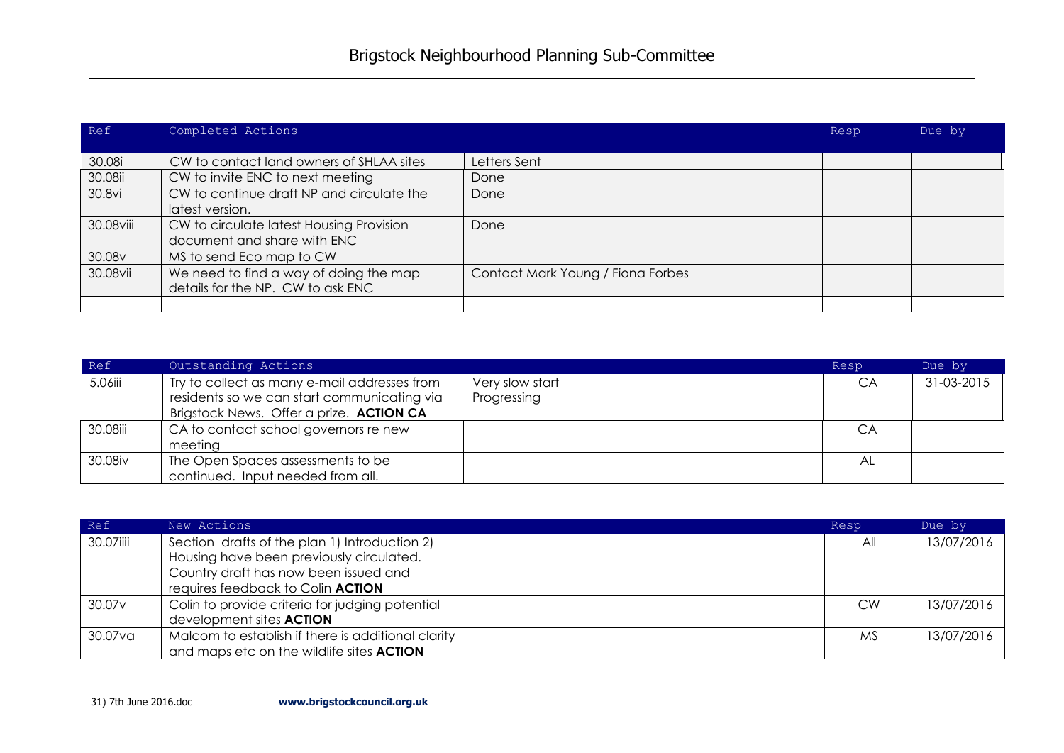| Ref       | Completed Actions                         |                                   | Resp | Due by |
|-----------|-------------------------------------------|-----------------------------------|------|--------|
|           |                                           |                                   |      |        |
| 30.08i    | CW to contact land owners of SHLAA sites  | Letters Sent                      |      |        |
| 30.08ii   | CW to invite ENC to next meeting          | Done                              |      |        |
| 30.8vi    | CW to continue draft NP and circulate the | Done                              |      |        |
|           | latest version.                           |                                   |      |        |
| 30.08viii | CW to circulate latest Housing Provision  | Done                              |      |        |
|           | document and share with ENC               |                                   |      |        |
| 30.08v    | MS to send Eco map to CW                  |                                   |      |        |
| 30.08vii  | We need to find a way of doing the map    | Contact Mark Young / Fiona Forbes |      |        |
|           | details for the NP. CW to ask ENC         |                                   |      |        |
|           |                                           |                                   |      |        |

| Ref      | Outstanding Actions                                                                                                                     |                                | Resp | Due by     |
|----------|-----------------------------------------------------------------------------------------------------------------------------------------|--------------------------------|------|------------|
| 5.06iii  | Try to collect as many e-mail addresses from<br>residents so we can start communicating via<br>Brigstock News. Offer a prize. ACTION CA | Very slow start<br>Progressing | CA   | 31-03-2015 |
| 30.08iii | CA to contact school governors re new<br>meeting                                                                                        |                                | СA   |            |
| 30.08iv  | The Open Spaces assessments to be<br>continued. Input needed from all.                                                                  |                                | AL   |            |

| Ref                | New Actions                                        | Resp      | Due by     |
|--------------------|----------------------------------------------------|-----------|------------|
| 30.07iiii          | Section drafts of the plan 1) Introduction 2)      | All       | 13/07/2016 |
|                    | Housing have been previously circulated.           |           |            |
|                    | Country draft has now been issued and              |           |            |
|                    | requires feedback to Colin ACTION                  |           |            |
| 30.07 <sub>v</sub> | Colin to provide criteria for judging potential    | <b>CW</b> | 13/07/2016 |
|                    | development sites <b>ACTION</b>                    |           |            |
| 30.07va            | Malcom to establish if there is additional clarity | МS        | 13/07/2016 |
|                    | and maps etc on the wildlife sites <b>ACTION</b>   |           |            |